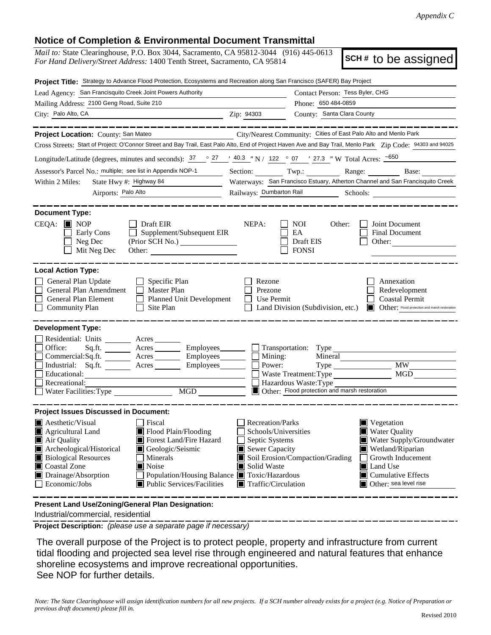## **Notice of Completion & Environmental Document Transmittal**

*Mail to:* State Clearinghouse, P.O. Box 3044, Sacramento, CA 95812-3044 (916) 445-0613 *For Hand Delivery/Street Address:* 1400 Tenth Street, Sacramento, CA 95814

**SCH #** to be assigned

| Project Title: Strategy to Advance Flood Protection, Ecosystems and Recreation along San Francisco (SAFER) Bay Project                                                                                                                                                                                                                                                                 |                                                                                                                                                                                                                                                                                                                                                                                                                                                |  |  |  |  |  |
|----------------------------------------------------------------------------------------------------------------------------------------------------------------------------------------------------------------------------------------------------------------------------------------------------------------------------------------------------------------------------------------|------------------------------------------------------------------------------------------------------------------------------------------------------------------------------------------------------------------------------------------------------------------------------------------------------------------------------------------------------------------------------------------------------------------------------------------------|--|--|--|--|--|
| Lead Agency: San Francisquito Creek Joint Powers Authority                                                                                                                                                                                                                                                                                                                             | Contact Person: Tess Byler, CHG                                                                                                                                                                                                                                                                                                                                                                                                                |  |  |  |  |  |
| Mailing Address: 2100 Geng Road, Suite 210                                                                                                                                                                                                                                                                                                                                             | Phone: 650 484-0859                                                                                                                                                                                                                                                                                                                                                                                                                            |  |  |  |  |  |
| City: Palo Alto, CA                                                                                                                                                                                                                                                                                                                                                                    | County: Santa Clara County<br>Zip: 94303                                                                                                                                                                                                                                                                                                                                                                                                       |  |  |  |  |  |
|                                                                                                                                                                                                                                                                                                                                                                                        |                                                                                                                                                                                                                                                                                                                                                                                                                                                |  |  |  |  |  |
| City/Nearest Community: Cities of East Palo Alto and Menlo Park<br>Project Location: County: San Mateo                                                                                                                                                                                                                                                                                 |                                                                                                                                                                                                                                                                                                                                                                                                                                                |  |  |  |  |  |
| Cross Streets: Start of Project: O'Connor Street and Bay Trail, East Palo Alto, End of Project Haven Ave and Bay Trail, Menlo Park Zip Code: 94303 and 94025                                                                                                                                                                                                                           |                                                                                                                                                                                                                                                                                                                                                                                                                                                |  |  |  |  |  |
| Longitude/Latitude (degrees, minutes and seconds): $37 \degree$ $27 \degree$ $40.3 \degree$ N / 122 $\degree$ 07 $\degree$ 27.3 " W Total Acres: $\frac{650}{27}$                                                                                                                                                                                                                      |                                                                                                                                                                                                                                                                                                                                                                                                                                                |  |  |  |  |  |
| Assessor's Parcel No.: multiple; see list in Appendix NOP-1                                                                                                                                                                                                                                                                                                                            | Section: Twp.: Range: Base: Base:                                                                                                                                                                                                                                                                                                                                                                                                              |  |  |  |  |  |
| State Hwy #: Highway 84<br>Within 2 Miles:                                                                                                                                                                                                                                                                                                                                             | Waterways: San Francisco Estuary, Atherton Channel and San Francisquito Creek                                                                                                                                                                                                                                                                                                                                                                  |  |  |  |  |  |
| Airports: Palo Alto                                                                                                                                                                                                                                                                                                                                                                    |                                                                                                                                                                                                                                                                                                                                                                                                                                                |  |  |  |  |  |
| <b>Document Type:</b>                                                                                                                                                                                                                                                                                                                                                                  |                                                                                                                                                                                                                                                                                                                                                                                                                                                |  |  |  |  |  |
| $CEQA:$ MOP<br>Draft EIR<br>Supplement/Subsequent EIR<br>Early Cons<br>Neg Dec<br>(Prior SCH No.) ________________<br>Mit Neg Dec                                                                                                                                                                                                                                                      | NEPA:<br>Joint Document<br><b>NOI</b><br>Other:<br>EA<br><b>Final Document</b><br>Draft EIS<br>Other:<br><b>FONSI</b>                                                                                                                                                                                                                                                                                                                          |  |  |  |  |  |
| <b>Local Action Type:</b><br>General Plan Update<br>$\Box$ Specific Plan<br>General Plan Amendment<br>$\Box$ Master Plan<br>General Plan Element<br>Planned Unit Development<br><b>Community Plan</b><br>Site Plan<br>$\Box$                                                                                                                                                           | Rezone<br>Annexation<br>Prezone<br>Redevelopment<br>Use Permit<br><b>Coastal Permit</b><br>Other: Flood protection and marsh restoration<br>Land Division (Subdivision, etc.)                                                                                                                                                                                                                                                                  |  |  |  |  |  |
| <b>Development Type:</b>                                                                                                                                                                                                                                                                                                                                                               |                                                                                                                                                                                                                                                                                                                                                                                                                                                |  |  |  |  |  |
| Residential: Units ________ Acres _______<br>Office:<br>Sq.fit.<br>Commercial:Sq.ft. _______ Acres ________ Employees _______ __ Mining:<br>Industrial: Sq.ft. _______ Acres _______ Employees ______ $\Box$ Power:<br>Educational:<br>Recreational:<br>MGD MGD<br>Water Facilities: Type                                                                                              | Acres _________ Employees _______ _ Transportation: Type<br>Mineral<br><b>MW</b><br>Type<br><b>MGD</b><br>Waste Treatment: Type<br>Hazardous Waste: Type<br>Other: Flood protection and marsh restoration                                                                                                                                                                                                                                      |  |  |  |  |  |
| <b>Project Issues Discussed in Document:</b>                                                                                                                                                                                                                                                                                                                                           |                                                                                                                                                                                                                                                                                                                                                                                                                                                |  |  |  |  |  |
| $\blacksquare$ Aesthetic/Visual<br>Fiscal<br>$\blacksquare$ Flood Plain/Flooding<br>$\blacksquare$ Agricultural Land<br>Air Quality<br>Forest Land/Fire Hazard<br>Archeological/Historical<br>Geologic/Seismic<br><b>Biological Resources</b><br>Minerals<br>Coastal Zone<br>$\blacksquare$ Noise<br>Drainage/Absorption<br>Economic/Jobs<br>$\blacksquare$ Public Services/Facilities | <b>Recreation/Parks</b><br>$\blacksquare$ Vegetation<br><b>Water Quality</b><br>Schools/Universities<br>Septic Systems<br>Water Supply/Groundwater<br>Sewer Capacity<br>$\blacksquare$ Wetland/Riparian<br>Soil Erosion/Compaction/Grading<br>Growth Inducement<br>Solid Waste<br>Land Use<br>Population/Housing Balance ■ Toxic/Hazardous<br>$\blacksquare$ Cumulative Effects<br>$\blacksquare$ Traffic/Circulation<br>Other: sea level rise |  |  |  |  |  |
| Present Land Use/Zoning/General Plan Designation:                                                                                                                                                                                                                                                                                                                                      |                                                                                                                                                                                                                                                                                                                                                                                                                                                |  |  |  |  |  |

Industrial/commercial, residential

**Project Description:** *(please use a separate page if necessary)*

 The overall purpose of the Project is to protect people, property and infrastructure from current tidal flooding and projected sea level rise through engineered and natural features that enhance shoreline ecosystems and improve recreational opportunities. See NOP for further details.